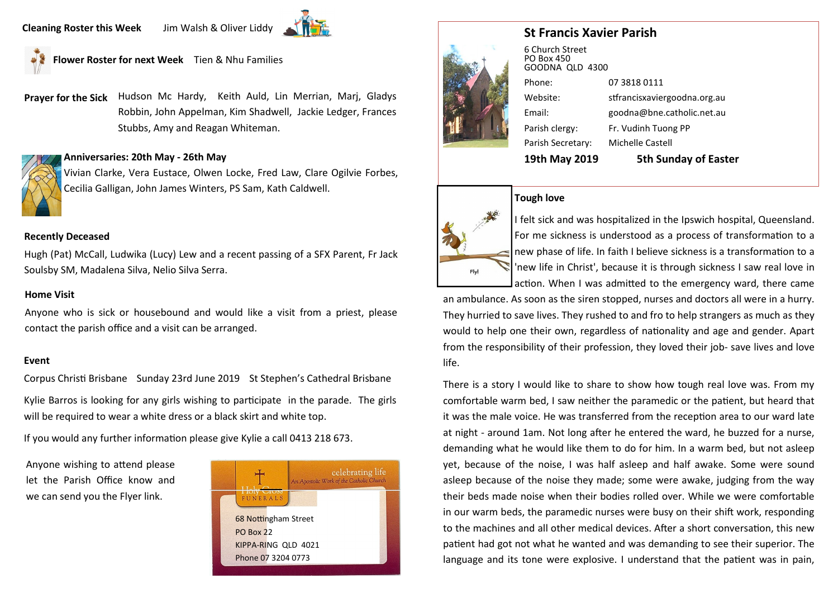**Flower Roster for next Week** Tien & Nhu Families

**Prayer for the Sick** Hudson Mc Hardy, Keith Auld, Lin Merrian, Marj, Gladys Robbin, John Appelman, Kim Shadwell, Jackie Ledger, Frances Stubbs, Amy and Reagan Whiteman.

# **Anniversaries: 20th May - 26th May**

Vivian Clarke, Vera Eustace, Olwen Locke, Fred Law, Clare Ogilvie Forbes, Cecilia Galligan, John James Winters, PS Sam, Kath Caldwell.

# **Recently Deceased**

Hugh (Pat) McCall, Ludwika (Lucy) Lew and a recent passing of a SFX Parent, Fr Jack Soulsby SM, Madalena Silva, Nelio Silva Serra.

# **Home Visit**

Anyone who is sick or housebound and would like a visit from a priest, please contact the parish office and a visit can be arranged.

#### **Event**

Corpus Christi Brisbane Sunday 23rd June 2019 St Stephen's Cathedral Brisbane

Kylie Barros is looking for any girls wishing to participate in the parade. The girls will be required to wear a white dress or a black skirt and white top.

If you would any further information please give Kylie a call 0413 218 673.

Anyone wishing to attend please let the Parish Office know and we can send you the Flyer link.







6 Church Street PO Box 450 GOODNA QLD 4300 Phone: 07 3818 0111 Website: stfrancisxaviergoodna.org.au Email: goodna@bne.catholic.net.au Parish clergy: Fr. Vudinh Tuong PP Parish Secretary: Michelle Castell **19th May 2019 5th Sunday of Easter** 

# **Tough love**



I felt sick and was hospitalized in the Ipswich hospital, Queensland. For me sickness is understood as a process of transformation to a new phase of life. In faith I believe sickness is a transformation to a 'new life in Christ', because it is through sickness I saw real love in action. When I was admitted to the emergency ward, there came

an ambulance. As soon as the siren stopped, nurses and doctors all were in a hurry. They hurried to save lives. They rushed to and fro to help strangers as much as they would to help one their own, regardless of nationality and age and gender. Apart from the responsibility of their profession, they loved their job- save lives and love life.

There is a story I would like to share to show how tough real love was. From my comfortable warm bed, I saw neither the paramedic or the patient, but heard that it was the male voice. He was transferred from the reception area to our ward late at night - around 1am. Not long after he entered the ward, he buzzed for a nurse, demanding what he would like them to do for him. In a warm bed, but not asleep yet, because of the noise, I was half asleep and half awake. Some were sound asleep because of the noise they made; some were awake, judging from the way their beds made noise when their bodies rolled over. While we were comfortable in our warm beds, the paramedic nurses were busy on their shift work, responding to the machines and all other medical devices. After a short conversation, this new patient had got not what he wanted and was demanding to see their superior. The language and its tone were explosive. I understand that the patient was in pain,